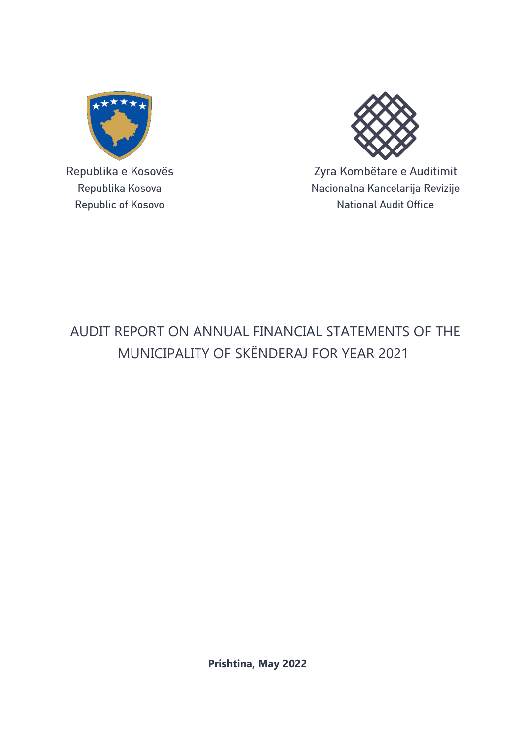

Republika e Kosovës Republika Kosova Republic of Kosovo



Zyra Kombëtare e Auditimit Nacionalna Kancelarija Revizije **National Audit Office** 

# AUDIT REPORT ON ANNUAL FINANCIAL STATEMENTS OF THE MUNICIPALITY OF SKËNDERAJ FOR YEAR 2021

**Prishtina, May 2022**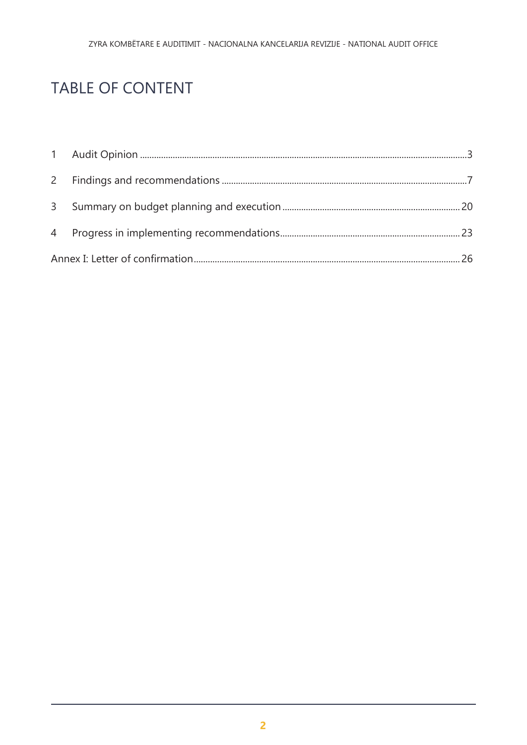# TABLE OF CONTENT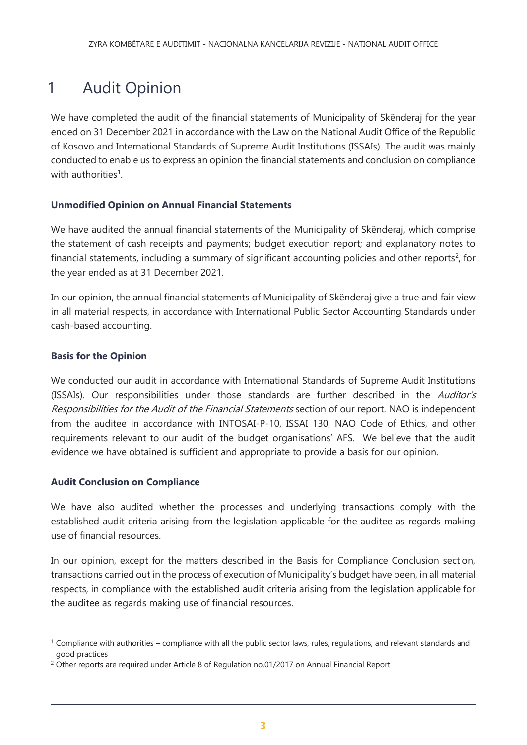# <span id="page-2-0"></span>1 Audit Opinion

We have completed the audit of the financial statements of Municipality of Skënderaj for the year ended on 31 December 2021 in accordance with the Law on the National Audit Office of the Republic of Kosovo and International Standards of Supreme Audit Institutions (ISSAIs). The audit was mainly conducted to enable us to express an opinion the financial statements and conclusion on compliance with authorities<sup>1</sup>.

### **Unmodified Opinion on Annual Financial Statements**

We have audited the annual financial statements of the Municipality of Skënderaj, which comprise the statement of cash receipts and payments; budget execution report; and explanatory notes to financial statements, including a summary of significant accounting policies and other reports<sup>2</sup>, for the year ended as at 31 December 2021.

In our opinion, the annual financial statements of Municipality of Skënderaj give a true and fair view in all material respects, in accordance with International Public Sector Accounting Standards under cash-based accounting.

### **Basis for the Opinion**

 $\overline{a}$ 

We conducted our audit in accordance with International Standards of Supreme Audit Institutions (ISSAIs). Our responsibilities under those standards are further described in the Auditor's Responsibilities for the Audit of the Financial Statements section of our report. NAO is independent from the auditee in accordance with INTOSAI-P-10, ISSAI 130, NAO Code of Ethics, and other requirements relevant to our audit of the budget organisations' AFS. We believe that the audit evidence we have obtained is sufficient and appropriate to provide a basis for our opinion.

### **Audit Conclusion on Compliance**

We have also audited whether the processes and underlying transactions comply with the established audit criteria arising from the legislation applicable for the auditee as regards making use of financial resources.

In our opinion, except for the matters described in the Basis for Compliance Conclusion section, transactions carried out in the process of execution of Municipality's budget have been, in all material respects, in compliance with the established audit criteria arising from the legislation applicable for the auditee as regards making use of financial resources.

<sup>1</sup> Compliance with authorities – compliance with all the public sector laws, rules, regulations, and relevant standards and good practices

<sup>&</sup>lt;sup>2</sup> Other reports are required under Article 8 of Regulation no.01/2017 on Annual Financial Report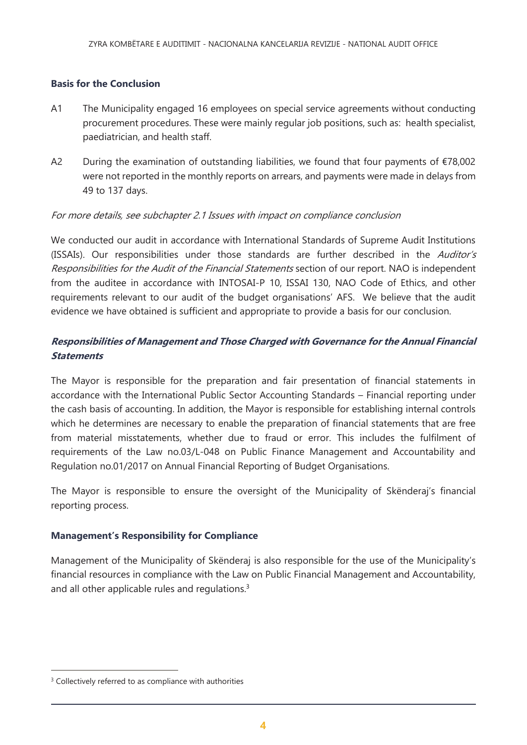### **Basis for the Conclusion**

- A1 The Municipality engaged 16 employees on special service agreements without conducting procurement procedures. These were mainly regular job positions, such as: health specialist, paediatrician, and health staff.
- A2 During the examination of outstanding liabilities, we found that four payments of  $E$ 78,002 were not reported in the monthly reports on arrears, and payments were made in delays from 49 to 137 days.

### For more details, see subchapter 2.1 Issues with impact on compliance conclusion

We conducted our audit in accordance with International Standards of Supreme Audit Institutions (ISSAIs). Our responsibilities under those standards are further described in the Auditor's Responsibilities for the Audit of the Financial Statements section of our report. NAO is independent from the auditee in accordance with INTOSAI-P 10, ISSAI 130, NAO Code of Ethics, and other requirements relevant to our audit of the budget organisations' AFS. We believe that the audit evidence we have obtained is sufficient and appropriate to provide a basis for our conclusion.

### **Responsibilities of Management and Those Charged with Governance for the Annual Financial Statements**

The Mayor is responsible for the preparation and fair presentation of financial statements in accordance with the International Public Sector Accounting Standards – Financial reporting under the cash basis of accounting. In addition, the Mayor is responsible for establishing internal controls which he determines are necessary to enable the preparation of financial statements that are free from material misstatements, whether due to fraud or error. This includes the fulfilment of requirements of the Law no.03/L-048 on Public Finance Management and Accountability and Regulation no.01/2017 on Annual Financial Reporting of Budget Organisations.

The Mayor is responsible to ensure the oversight of the Municipality of Skënderaj's financial reporting process.

#### **Management's Responsibility for Compliance**

Management of the Municipality of Skënderaj is also responsible for the use of the Municipality's financial resources in compliance with the Law on Public Financial Management and Accountability, and all other applicable rules and regulations.<sup>3</sup>

 $\overline{a}$ 

<sup>&</sup>lt;sup>3</sup> Collectively referred to as compliance with authorities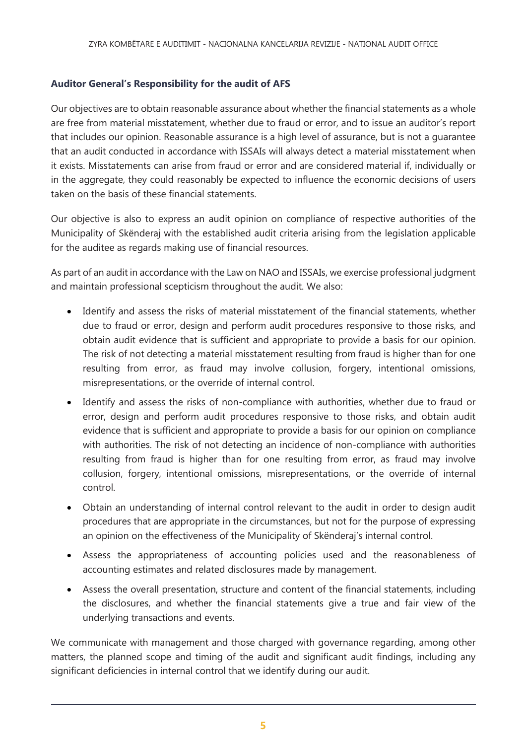### **Auditor General's Responsibility for the audit of AFS**

Our objectives are to obtain reasonable assurance about whether the financial statements as a whole are free from material misstatement, whether due to fraud or error, and to issue an auditor's report that includes our opinion. Reasonable assurance is a high level of assurance, but is not a guarantee that an audit conducted in accordance with ISSAIs will always detect a material misstatement when it exists. Misstatements can arise from fraud or error and are considered material if, individually or in the aggregate, they could reasonably be expected to influence the economic decisions of users taken on the basis of these financial statements.

Our objective is also to express an audit opinion on compliance of respective authorities of the Municipality of Skënderaj with the established audit criteria arising from the legislation applicable for the auditee as regards making use of financial resources.

As part of an audit in accordance with the Law on NAO and ISSAIs, we exercise professional judgment and maintain professional scepticism throughout the audit. We also:

- Identify and assess the risks of material misstatement of the financial statements, whether due to fraud or error, design and perform audit procedures responsive to those risks, and obtain audit evidence that is sufficient and appropriate to provide a basis for our opinion. The risk of not detecting a material misstatement resulting from fraud is higher than for one resulting from error, as fraud may involve collusion, forgery, intentional omissions, misrepresentations, or the override of internal control.
- Identify and assess the risks of non-compliance with authorities, whether due to fraud or error, design and perform audit procedures responsive to those risks, and obtain audit evidence that is sufficient and appropriate to provide a basis for our opinion on compliance with authorities. The risk of not detecting an incidence of non-compliance with authorities resulting from fraud is higher than for one resulting from error, as fraud may involve collusion, forgery, intentional omissions, misrepresentations, or the override of internal control.
- Obtain an understanding of internal control relevant to the audit in order to design audit procedures that are appropriate in the circumstances, but not for the purpose of expressing an opinion on the effectiveness of the Municipality of Skënderaj's internal control.
- Assess the appropriateness of accounting policies used and the reasonableness of accounting estimates and related disclosures made by management.
- Assess the overall presentation, structure and content of the financial statements, including the disclosures, and whether the financial statements give a true and fair view of the underlying transactions and events.

We communicate with management and those charged with governance regarding, among other matters, the planned scope and timing of the audit and significant audit findings, including any significant deficiencies in internal control that we identify during our audit.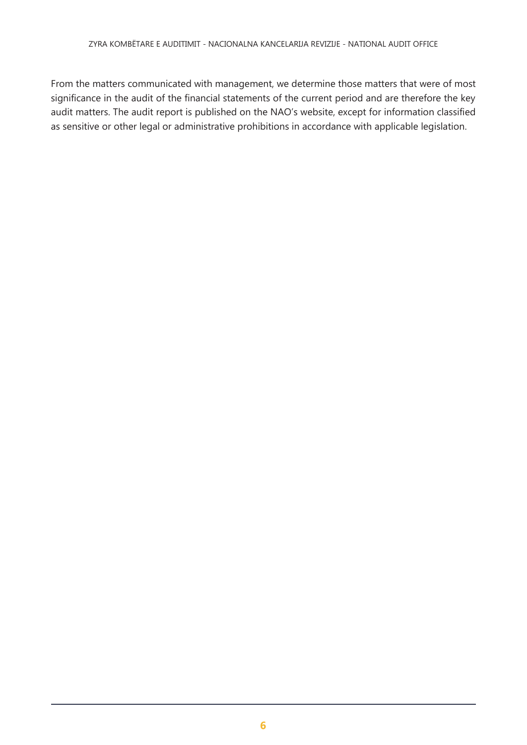From the matters communicated with management, we determine those matters that were of most significance in the audit of the financial statements of the current period and are therefore the key audit matters. The audit report is published on the NAO's website, except for information classified as sensitive or other legal or administrative prohibitions in accordance with applicable legislation.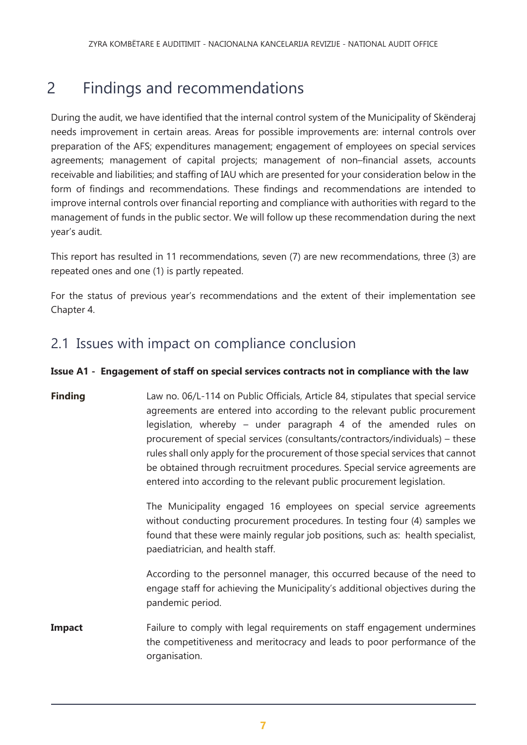# <span id="page-6-0"></span>2 Findings and recommendations

During the audit, we have identified that the internal control system of the Municipality of Skënderaj needs improvement in certain areas. Areas for possible improvements are: internal controls over preparation of the AFS; expenditures management; engagement of employees on special services agreements; management of capital projects; management of non–financial assets, accounts receivable and liabilities; and staffing of IAU which are presented for your consideration below in the form of findings and recommendations. These findings and recommendations are intended to improve internal controls over financial reporting and compliance with authorities with regard to the management of funds in the public sector. We will follow up these recommendation during the next year's audit.

This report has resulted in 11 recommendations, seven (7) are new recommendations, three (3) are repeated ones and one (1) is partly repeated.

For the status of previous year's recommendations and the extent of their implementation see Chapter 4.

### 2.1 Issues with impact on compliance conclusion

### **Issue A1 - Engagement of staff on special services contracts not in compliance with the law**

**Finding** Law no. 06/L-114 on Public Officials, Article 84, stipulates that special service agreements are entered into according to the relevant public procurement legislation, whereby – under paragraph 4 of the amended rules on procurement of special services (consultants/contractors/individuals) – these rules shall only apply for the procurement of those special services that cannot be obtained through recruitment procedures. Special service agreements are entered into according to the relevant public procurement legislation.

> The Municipality engaged 16 employees on special service agreements without conducting procurement procedures. In testing four (4) samples we found that these were mainly regular job positions, such as: health specialist, paediatrician, and health staff.

> According to the personnel manager, this occurred because of the need to engage staff for achieving the Municipality's additional objectives during the pandemic period.

**Impact** Failure to comply with legal requirements on staff engagement undermines the competitiveness and meritocracy and leads to poor performance of the organisation.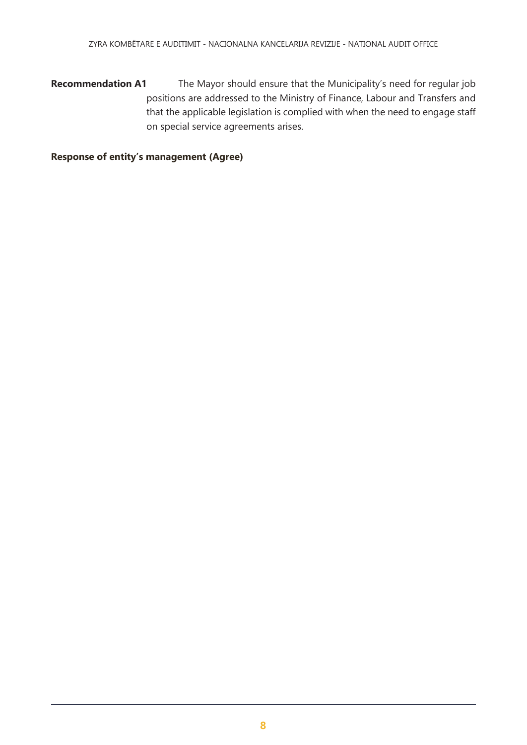**Recommendation A1** The Mayor should ensure that the Municipality's need for regular job positions are addressed to the Ministry of Finance, Labour and Transfers and that the applicable legislation is complied with when the need to engage staff on special service agreements arises.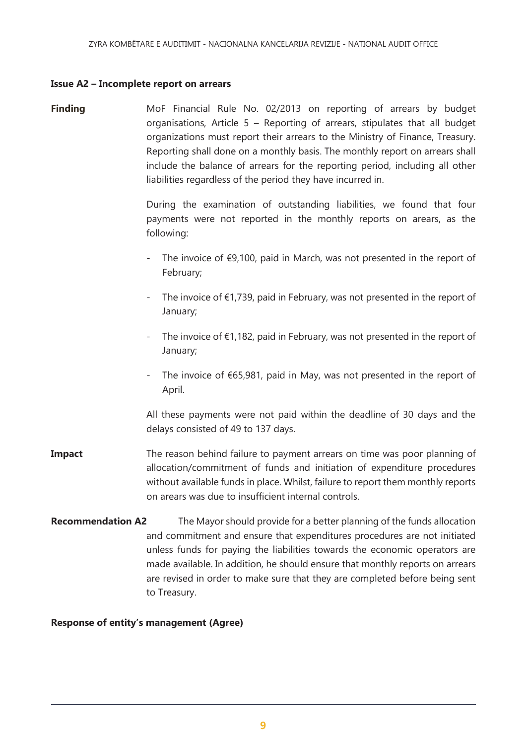#### **Issue A2 – Incomplete report on arrears**

**Finding** MoF Financial Rule No. 02/2013 on reporting of arrears by budget organisations, Article 5 – Reporting of arrears, stipulates that all budget organizations must report their arrears to the Ministry of Finance, Treasury. Reporting shall done on a monthly basis. The monthly report on arrears shall include the balance of arrears for the reporting period, including all other liabilities regardless of the period they have incurred in.

> During the examination of outstanding liabilities, we found that four payments were not reported in the monthly reports on arears, as the following:

- The invoice of  $\epsilon$ 9,100, paid in March, was not presented in the report of February;
- The invoice of  $\epsilon$ 1,739, paid in February, was not presented in the report of January;
- The invoice of €1,182, paid in February, was not presented in the report of January;
- The invoice of  $€65,981$ , paid in May, was not presented in the report of April.

All these payments were not paid within the deadline of 30 days and the delays consisted of 49 to 137 days.

- **Impact** The reason behind failure to payment arrears on time was poor planning of allocation/commitment of funds and initiation of expenditure procedures without available funds in place. Whilst, failure to report them monthly reports on arears was due to insufficient internal controls.
- **Recommendation A2** The Mayor should provide for a better planning of the funds allocation and commitment and ensure that expenditures procedures are not initiated unless funds for paying the liabilities towards the economic operators are made available. In addition, he should ensure that monthly reports on arrears are revised in order to make sure that they are completed before being sent to Treasury.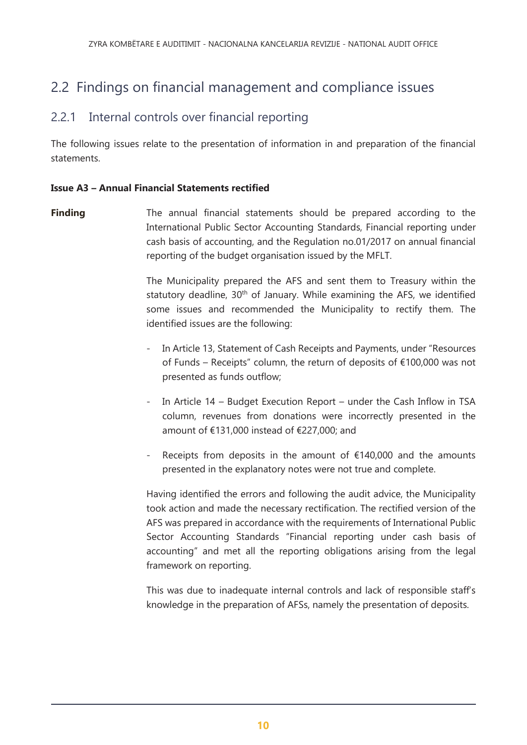## 2.2 Findings on financial management and compliance issues

### 2.2.1 Internal controls over financial reporting

The following issues relate to the presentation of information in and preparation of the financial statements.

### **Issue A3 – Annual Financial Statements rectified**

**Finding** The annual financial statements should be prepared according to the International Public Sector Accounting Standards, Financial reporting under cash basis of accounting, and the Regulation no.01/2017 on annual financial reporting of the budget organisation issued by the MFLT.

> The Municipality prepared the AFS and sent them to Treasury within the statutory deadline, 30<sup>th</sup> of January. While examining the AFS, we identified some issues and recommended the Municipality to rectify them. The identified issues are the following:

- In Article 13, Statement of Cash Receipts and Payments, under "Resources of Funds – Receipts" column, the return of deposits of €100,000 was not presented as funds outflow;
- In Article 14 Budget Execution Report under the Cash Inflow in TSA column, revenues from donations were incorrectly presented in the amount of €131,000 instead of €227,000; and
- Receipts from deposits in the amount of  $£140,000$  and the amounts presented in the explanatory notes were not true and complete.

Having identified the errors and following the audit advice, the Municipality took action and made the necessary rectification. The rectified version of the AFS was prepared in accordance with the requirements of International Public Sector Accounting Standards "Financial reporting under cash basis of accounting" and met all the reporting obligations arising from the legal framework on reporting.

This was due to inadequate internal controls and lack of responsible staff's knowledge in the preparation of AFSs, namely the presentation of deposits.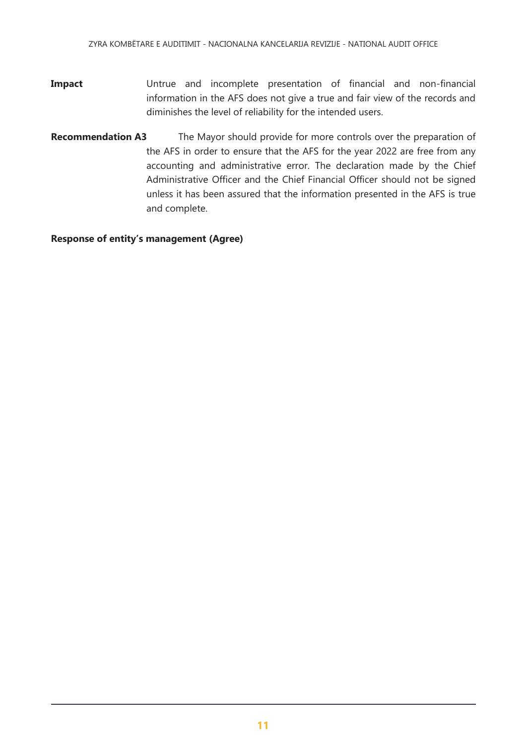- **Impact** Untrue and incomplete presentation of financial and non-financial information in the AFS does not give a true and fair view of the records and diminishes the level of reliability for the intended users.
- **Recommendation A3** The Mayor should provide for more controls over the preparation of the AFS in order to ensure that the AFS for the year 2022 are free from any accounting and administrative error. The declaration made by the Chief Administrative Officer and the Chief Financial Officer should not be signed unless it has been assured that the information presented in the AFS is true and complete.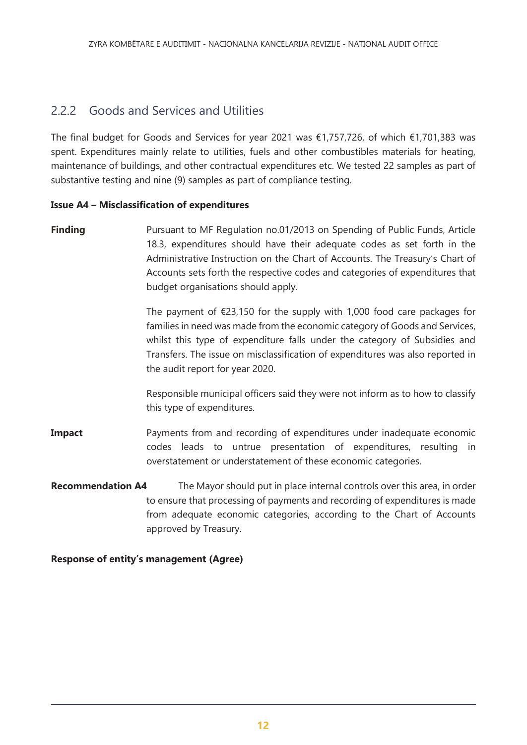### 2.2.2 Goods and Services and Utilities

The final budget for Goods and Services for year 2021 was €1,757,726, of which €1,701,383 was spent. Expenditures mainly relate to utilities, fuels and other combustibles materials for heating, maintenance of buildings, and other contractual expenditures etc. We tested 22 samples as part of substantive testing and nine (9) samples as part of compliance testing.

### **Issue A4 – Misclassification of expenditures**

**Finding** Pursuant to MF Regulation no.01/2013 on Spending of Public Funds, Article 18.3, expenditures should have their adequate codes as set forth in the Administrative Instruction on the Chart of Accounts. The Treasury's Chart of Accounts sets forth the respective codes and categories of expenditures that budget organisations should apply.

> The payment of  $\epsilon$ 23,150 for the supply with 1,000 food care packages for families in need was made from the economic category of Goods and Services, whilst this type of expenditure falls under the category of Subsidies and Transfers. The issue on misclassification of expenditures was also reported in the audit report for year 2020.

> Responsible municipal officers said they were not inform as to how to classify this type of expenditures.

- **Impact** Payments from and recording of expenditures under inadequate economic codes leads to untrue presentation of expenditures, resulting in overstatement or understatement of these economic categories.
- **Recommendation A4** The Mayor should put in place internal controls over this area, in order to ensure that processing of payments and recording of expenditures is made from adequate economic categories, according to the Chart of Accounts approved by Treasury.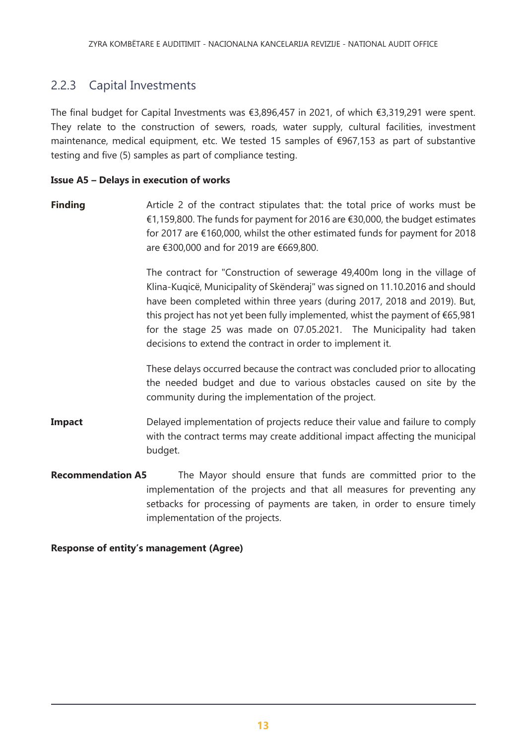### 2.2.3 Capital Investments

The final budget for Capital Investments was €3,896,457 in 2021, of which €3,319,291 were spent. They relate to the construction of sewers, roads, water supply, cultural facilities, investment maintenance, medical equipment, etc. We tested 15 samples of €967,153 as part of substantive testing and five (5) samples as part of compliance testing.

### **Issue A5 – Delays in execution of works**

**Finding Article 2** of the contract stipulates that: the total price of works must be €1,159,800. The funds for payment for 2016 are €30,000, the budget estimates for 2017 are €160,000, whilst the other estimated funds for payment for 2018 are €300,000 and for 2019 are €669,800.

> The contract for "Construction of sewerage 49,400m long in the village of Klina-Kuqicë, Municipality of Skënderaj" was signed on 11.10.2016 and should have been completed within three years (during 2017, 2018 and 2019). But, this project has not yet been fully implemented, whist the payment of €65,981 for the stage 25 was made on 07.05.2021. The Municipality had taken decisions to extend the contract in order to implement it.

> These delays occurred because the contract was concluded prior to allocating the needed budget and due to various obstacles caused on site by the community during the implementation of the project.

- **Impact** Delayed implementation of projects reduce their value and failure to comply with the contract terms may create additional impact affecting the municipal budget.
- **Recommendation A5** The Mayor should ensure that funds are committed prior to the implementation of the projects and that all measures for preventing any setbacks for processing of payments are taken, in order to ensure timely implementation of the projects.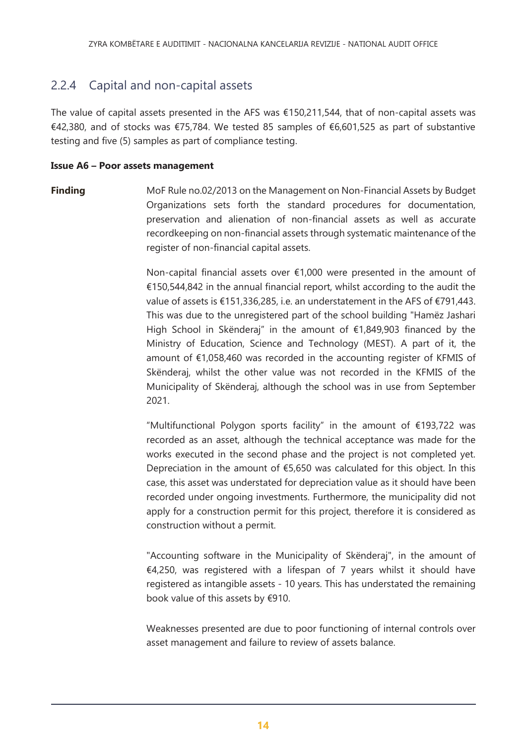### 2.2.4 Capital and non-capital assets

The value of capital assets presented in the AFS was  $\epsilon$ 150,211,544, that of non-capital assets was €42,380, and of stocks was €75,784. We tested 85 samples of €6,601,525 as part of substantive testing and five (5) samples as part of compliance testing.

### **Issue A6 – Poor assets management**

**Finding** MoF Rule no.02/2013 on the Management on Non-Financial Assets by Budget Organizations sets forth the standard procedures for documentation, preservation and alienation of non-financial assets as well as accurate recordkeeping on non-financial assets through systematic maintenance of the register of non-financial capital assets.

> Non-capital financial assets over €1,000 were presented in the amount of €150,544,842 in the annual financial report, whilst according to the audit the value of assets is €151,336,285, i.e. an understatement in the AFS of €791,443. This was due to the unregistered part of the school building "Hamëz Jashari High School in Skënderaj" in the amount of €1,849,903 financed by the Ministry of Education, Science and Technology (MEST). A part of it, the amount of €1,058,460 was recorded in the accounting register of KFMIS of Skënderaj, whilst the other value was not recorded in the KFMIS of the Municipality of Skënderaj, although the school was in use from September 2021.

> "Multifunctional Polygon sports facility" in the amount of €193,722 was recorded as an asset, although the technical acceptance was made for the works executed in the second phase and the project is not completed yet. Depreciation in the amount of  $£5,650$  was calculated for this object. In this case, this asset was understated for depreciation value as it should have been recorded under ongoing investments. Furthermore, the municipality did not apply for a construction permit for this project, therefore it is considered as construction without a permit.

> "Accounting software in the Municipality of Skënderaj", in the amount of  $€4,250$ , was registered with a lifespan of 7 years whilst it should have registered as intangible assets - 10 years. This has understated the remaining book value of this assets by €910.

> Weaknesses presented are due to poor functioning of internal controls over asset management and failure to review of assets balance.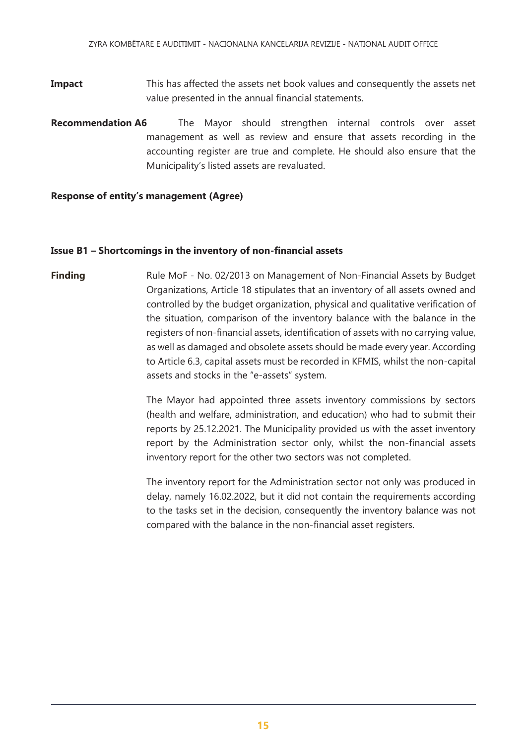**Impact** This has affected the assets net book values and consequently the assets net value presented in the annual financial statements.

**Recommendation A6** The Mayor should strengthen internal controls over asset management as well as review and ensure that assets recording in the accounting register are true and complete. He should also ensure that the Municipality's listed assets are revaluated.

#### **Response of entity's management (Agree)**

### **Issue B1 – Shortcomings in the inventory of non-financial assets**

**Finding** Rule MoF - No. 02/2013 on Management of Non-Financial Assets by Budget Organizations, Article 18 stipulates that an inventory of all assets owned and controlled by the budget organization, physical and qualitative verification of the situation, comparison of the inventory balance with the balance in the registers of non-financial assets, identification of assets with no carrying value, as well as damaged and obsolete assets should be made every year. According to Article 6.3, capital assets must be recorded in KFMIS, whilst the non-capital assets and stocks in the "e-assets" system.

> The Mayor had appointed three assets inventory commissions by sectors (health and welfare, administration, and education) who had to submit their reports by 25.12.2021. The Municipality provided us with the asset inventory report by the Administration sector only, whilst the non-financial assets inventory report for the other two sectors was not completed.

> The inventory report for the Administration sector not only was produced in delay, namely 16.02.2022, but it did not contain the requirements according to the tasks set in the decision, consequently the inventory balance was not compared with the balance in the non-financial asset registers.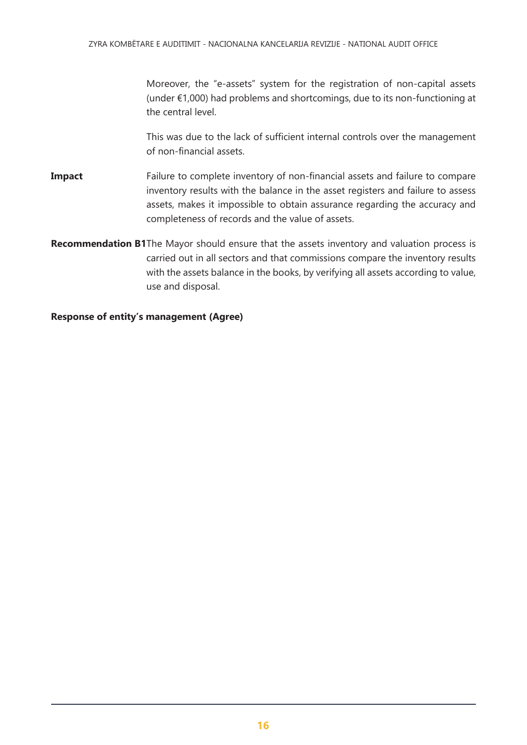Moreover, the "e-assets" system for the registration of non-capital assets (under €1,000) had problems and shortcomings, due to its non-functioning at the central level.

This was due to the lack of sufficient internal controls over the management of non-financial assets.

- **Impact** Failure to complete inventory of non-financial assets and failure to compare inventory results with the balance in the asset registers and failure to assess assets, makes it impossible to obtain assurance regarding the accuracy and completeness of records and the value of assets.
- **Recommendation B1**The Mayor should ensure that the assets inventory and valuation process is carried out in all sectors and that commissions compare the inventory results with the assets balance in the books, by verifying all assets according to value, use and disposal.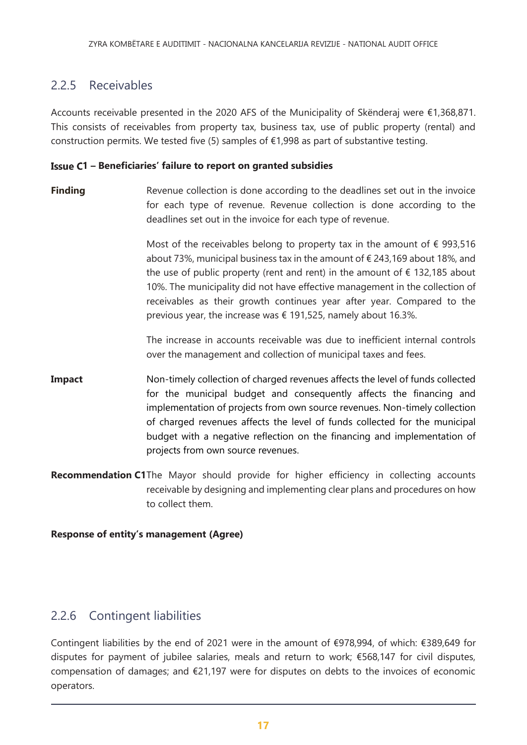### 2.2.5 Receivables

Accounts receivable presented in the 2020 AFS of the Municipality of Skënderaj were €1,368,871. This consists of receivables from property tax, business tax, use of public property (rental) and construction permits. We tested five (5) samples of  $\epsilon$ 1,998 as part of substantive testing.

### **1 – Beneficiaries' failure to report on granted subsidies**

**Finding Revenue collection is done according to the deadlines set out in the invoice** for each type of revenue. Revenue collection is done according to the deadlines set out in the invoice for each type of revenue.

> Most of the receivables belong to property tax in the amount of  $\epsilon$  993,516 about 73%, municipal business tax in the amount of € 243,169 about 18%, and the use of public property (rent and rent) in the amount of  $\epsilon$  132,185 about 10%. The municipality did not have effective management in the collection of receivables as their growth continues year after year. Compared to the previous year, the increase was € 191,525, namely about 16.3%.

> The increase in accounts receivable was due to inefficient internal controls over the management and collection of municipal taxes and fees.

- **Impact** Non-timely collection of charged revenues affects the level of funds collected for the municipal budget and consequently affects the financing and implementation of projects from own source revenues. Non-timely collection of charged revenues affects the level of funds collected for the municipal budget with a negative reflection on the financing and implementation of projects from own source revenues.
- **Recommendation C1**The Mayor should provide for higher efficiency in collecting accounts receivable by designing and implementing clear plans and procedures on how to collect them.

### **Response of entity's management (Agree)**

### 2.2.6 Contingent liabilities

Contingent liabilities by the end of 2021 were in the amount of €978,994, of which: €389,649 for disputes for payment of jubilee salaries, meals and return to work; €568,147 for civil disputes, compensation of damages; and €21,197 were for disputes on debts to the invoices of economic operators.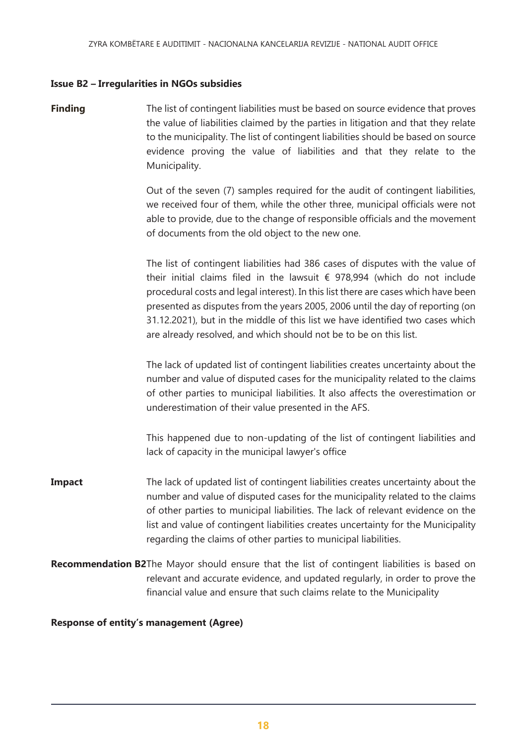#### **Issue B2 – Irregularities in NGOs subsidies**

**Finding** The list of contingent liabilities must be based on source evidence that proves the value of liabilities claimed by the parties in litigation and that they relate to the municipality. The list of contingent liabilities should be based on source evidence proving the value of liabilities and that they relate to the Municipality.

> Out of the seven (7) samples required for the audit of contingent liabilities, we received four of them, while the other three, municipal officials were not able to provide, due to the change of responsible officials and the movement of documents from the old object to the new one.

> The list of contingent liabilities had 386 cases of disputes with the value of their initial claims filed in the lawsuit  $\epsilon$  978,994 (which do not include procedural costs and legal interest). In this list there are cases which have been presented as disputes from the years 2005, 2006 until the day of reporting (on 31.12.2021), but in the middle of this list we have identified two cases which are already resolved, and which should not be to be on this list.

> The lack of updated list of contingent liabilities creates uncertainty about the number and value of disputed cases for the municipality related to the claims of other parties to municipal liabilities. It also affects the overestimation or underestimation of their value presented in the AFS.

> This happened due to non-updating of the list of contingent liabilities and lack of capacity in the municipal lawyer's office

- **Impact** The lack of updated list of contingent liabilities creates uncertainty about the number and value of disputed cases for the municipality related to the claims of other parties to municipal liabilities. The lack of relevant evidence on the list and value of contingent liabilities creates uncertainty for the Municipality regarding the claims of other parties to municipal liabilities.
- **Recommendation B2**The Mayor should ensure that the list of contingent liabilities is based on relevant and accurate evidence, and updated regularly, in order to prove the financial value and ensure that such claims relate to the Municipality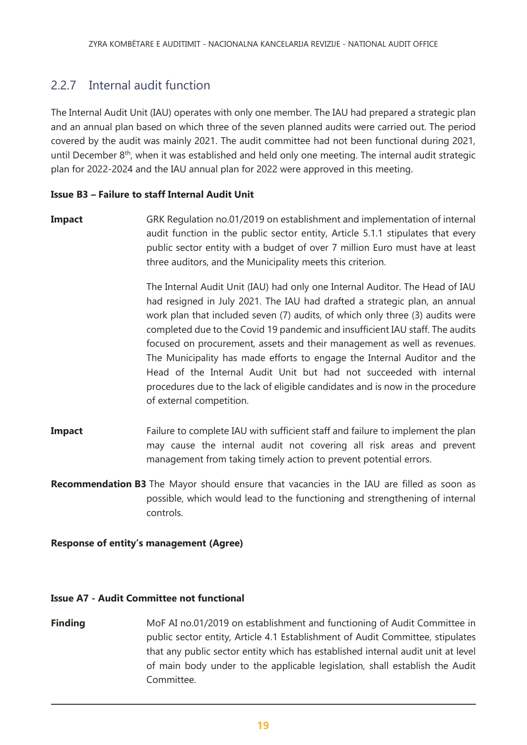### 2.2.7 Internal audit function

The Internal Audit Unit (IAU) operates with only one member. The IAU had prepared a strategic plan and an annual plan based on which three of the seven planned audits were carried out. The period covered by the audit was mainly 2021. The audit committee had not been functional during 2021, until December  $8<sup>th</sup>$ , when it was established and held only one meeting. The internal audit strategic plan for 2022-2024 and the IAU annual plan for 2022 were approved in this meeting.

### **Issue B3 – Failure to staff Internal Audit Unit**

**Impact GRK Regulation no.01/2019 on establishment and implementation of internal** audit function in the public sector entity, Article 5.1.1 stipulates that every public sector entity with a budget of over 7 million Euro must have at least three auditors, and the Municipality meets this criterion.

> The Internal Audit Unit (IAU) had only one Internal Auditor. The Head of IAU had resigned in July 2021. The IAU had drafted a strategic plan, an annual work plan that included seven (7) audits, of which only three (3) audits were completed due to the Covid 19 pandemic and insufficient IAU staff. The audits focused on procurement, assets and their management as well as revenues. The Municipality has made efforts to engage the Internal Auditor and the Head of the Internal Audit Unit but had not succeeded with internal procedures due to the lack of eligible candidates and is now in the procedure of external competition.

- **Impact** Failure to complete IAU with sufficient staff and failure to implement the plan may cause the internal audit not covering all risk areas and prevent management from taking timely action to prevent potential errors.
- **Recommendation B3** The Mayor should ensure that vacancies in the IAU are filled as soon as possible, which would lead to the functioning and strengthening of internal controls.

### **Response of entity's management (Agree)**

### **Issue A7 - Audit Committee not functional**

**Finding** MoF AI no.01/2019 on establishment and functioning of Audit Committee in public sector entity, Article 4.1 Establishment of Audit Committee, stipulates that any public sector entity which has established internal audit unit at level of main body under to the applicable legislation, shall establish the Audit Committee.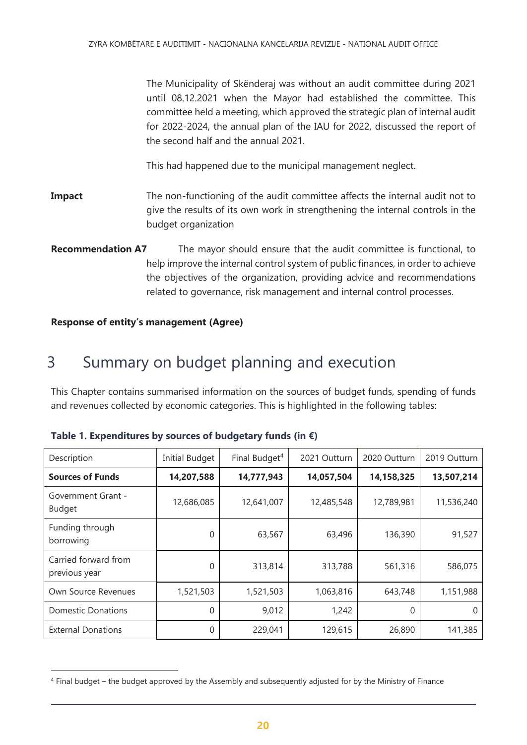The Municipality of Skënderaj was without an audit committee during 2021 until 08.12.2021 when the Mayor had established the committee. This committee held a meeting, which approved the strategic plan of internal audit for 2022-2024, the annual plan of the IAU for 2022, discussed the report of the second half and the annual 2021.

This had happened due to the municipal management neglect.

- **Impact** The non-functioning of the audit committee affects the internal audit not to give the results of its own work in strengthening the internal controls in the budget organization
- **Recommendation A7** The mayor should ensure that the audit committee is functional, to help improve the internal control system of public finances, in order to achieve the objectives of the organization, providing advice and recommendations related to governance, risk management and internal control processes.

### **Response of entity's management (Agree)**

 $\overline{a}$ 

# <span id="page-19-0"></span>3 Summary on budget planning and execution

This Chapter contains summarised information on the sources of budget funds, spending of funds and revenues collected by economic categories. This is highlighted in the following tables:

| Description                           | <b>Initial Budget</b> | Final Budget <sup>4</sup> | 2021 Outturn | 2020 Outturn | 2019 Outturn |
|---------------------------------------|-----------------------|---------------------------|--------------|--------------|--------------|
| <b>Sources of Funds</b>               | 14,207,588            | 14,777,943                | 14,057,504   | 14,158,325   | 13,507,214   |
| Government Grant -<br><b>Budget</b>   | 12,686,085            | 12,641,007                | 12,485,548   | 12,789,981   | 11,536,240   |
| Funding through<br>borrowing          | 0                     | 63,567                    | 63,496       | 136,390      | 91,527       |
| Carried forward from<br>previous year | 0                     | 313,814                   | 313,788      | 561,316      | 586,075      |
| Own Source Revenues                   | 1,521,503             | 1,521,503                 | 1,063,816    | 643,748      | 1,151,988    |
| <b>Domestic Donations</b>             | 0                     | 9,012                     | 1,242        | 0            |              |
| <b>External Donations</b>             | 0                     | 229,041                   | 129,615      | 26,890       | 141,385      |

| Table 1. Expenditures by sources of budgetary funds (in $\epsilon$ ) |  |  |  |  |
|----------------------------------------------------------------------|--|--|--|--|
|                                                                      |  |  |  |  |

<sup>4</sup> Final budget – the budget approved by the Assembly and subsequently adjusted for by the Ministry of Finance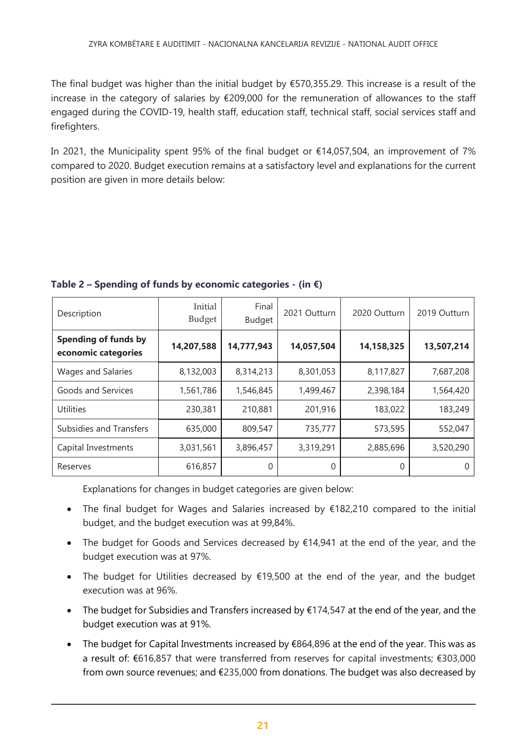The final budget was higher than the initial budget by €570,355.29. This increase is a result of the increase in the category of salaries by €209,000 for the remuneration of allowances to the staff engaged during the COVID-19, health staff, education staff, technical staff, social services staff and firefighters.

In 2021, the Municipality spent 95% of the final budget or €14,057,504, an improvement of 7% compared to 2020. Budget execution remains at a satisfactory level and explanations for the current position are given in more details below:

| Description                                        | Initial<br>Budget | Final<br><b>Budget</b> | 2021 Outturn | 2020 Outturn | 2019 Outturn |
|----------------------------------------------------|-------------------|------------------------|--------------|--------------|--------------|
| <b>Spending of funds by</b><br>economic categories | 14,207,588        | 14,777,943             | 14,057,504   | 14,158,325   | 13,507,214   |
| <b>Wages and Salaries</b>                          | 8,132,003         | 8,314,213              | 8,301,053    | 8,117,827    | 7,687,208    |
| Goods and Services                                 | 1,561,786         | 1,546,845              | 1,499,467    | 2,398,184    | 1,564,420    |
| Utilities                                          | 230,381           | 210,881                | 201,916      | 183,022      | 183,249      |
| Subsidies and Transfers                            | 635,000           | 809,547                | 735,777      | 573,595      | 552,047      |
| Capital Investments                                | 3,031,561         | 3,896,457              | 3,319,291    | 2,885,696    | 3,520,290    |
| Reserves                                           | 616,857           | 0                      | $\Omega$     | 0            |              |

### **Table 2 – Spending of funds by economic categories - (in €)**

Explanations for changes in budget categories are given below:

- The final budget for Wages and Salaries increased by €182,210 compared to the initial budget, and the budget execution was at 99,84%.
- The budget for Goods and Services decreased by €14,941 at the end of the year, and the budget execution was at 97%.
- The budget for Utilities decreased by €19,500 at the end of the year, and the budget execution was at 96%.
- The budget for Subsidies and Transfers increased by  $£174,547$  at the end of the year, and the budget execution was at 91%.
- The budget for Capital Investments increased by €864,896 at the end of the year. This was as a result of: €616,857 that were transferred from reserves for capital investments; €303,000 from own source revenues; and €235,000 from donations. The budget was also decreased by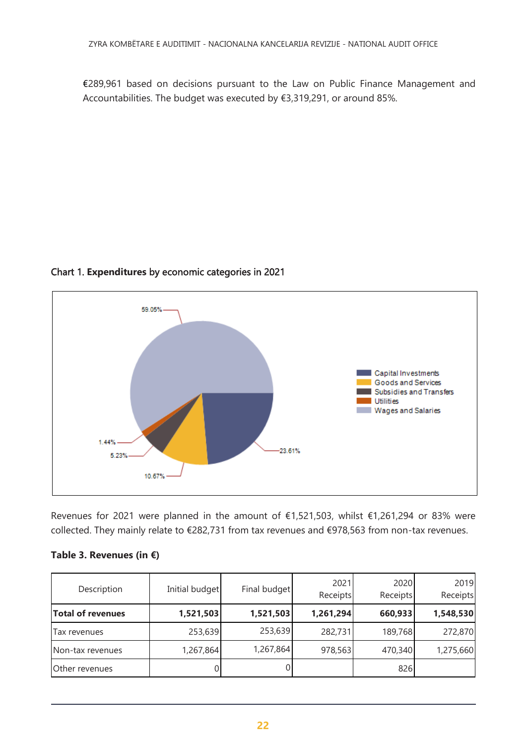€289,961 based on decisions pursuant to the Law on Public Finance Management and Accountabilities. The budget was executed by €3,319,291, or around 85%.



### Chart 1. **Expenditures** by economic categories in 2021

Revenues for 2021 were planned in the amount of €1,521,503, whilst €1,261,294 or 83% were collected. They mainly relate to €282,731 from tax revenues and €978,563 from non-tax revenues.

|  | Table 3. Revenues (in $\epsilon$ ) |  |  |
|--|------------------------------------|--|--|
|--|------------------------------------|--|--|

| Description              | Initial budget | Final budget | 2021<br>Receipts | 2020<br>Receipts | 2019<br>Receipts |
|--------------------------|----------------|--------------|------------------|------------------|------------------|
| <b>Total of revenues</b> | 1,521,503      | 1,521,503    | 1,261,294        | 660,933          | 1,548,530        |
| Tax revenues             | 253,639        | 253,639      | 282,731          | 189,768          | 272,870          |
| Non-tax revenues         | 1,267,864      | 1,267,864    | 978,563          | 470,340          | 1,275,660        |
| Other revenues           |                |              |                  | 826              |                  |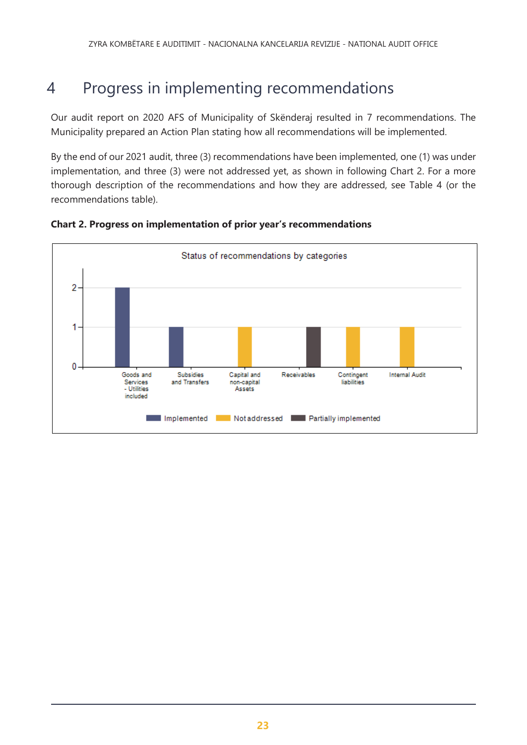# <span id="page-22-0"></span>4 Progress in implementing recommendations

Our audit report on 2020 AFS of Municipality of Skënderaj resulted in 7 recommendations. The Municipality prepared an Action Plan stating how all recommendations will be implemented.

By the end of our 2021 audit, three (3) recommendations have been implemented, one (1) was under implementation, and three (3) were not addressed yet, as shown in following Chart 2. For a more thorough description of the recommendations and how they are addressed, see Table 4 (or the recommendations table).



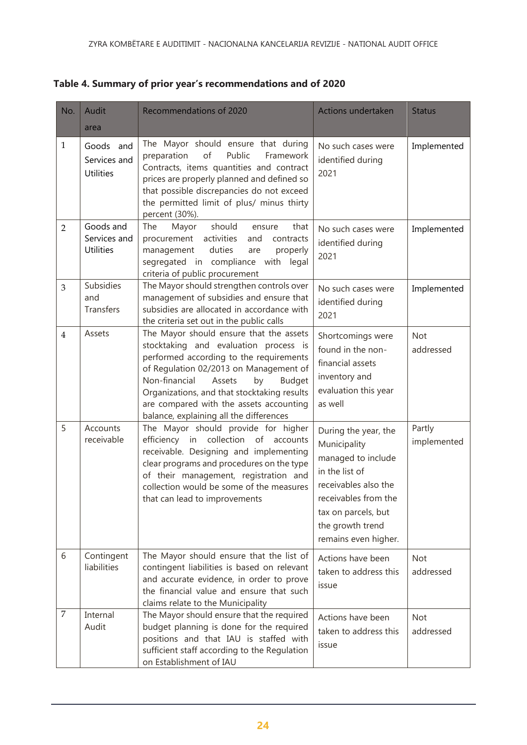| No.            | Audit                                         | Recommendations of 2020                                                                                                                                                                                                                                                                                                                                      | Actions undertaken                                                                                                                                                                              | <b>Status</b>           |
|----------------|-----------------------------------------------|--------------------------------------------------------------------------------------------------------------------------------------------------------------------------------------------------------------------------------------------------------------------------------------------------------------------------------------------------------------|-------------------------------------------------------------------------------------------------------------------------------------------------------------------------------------------------|-------------------------|
|                | area                                          |                                                                                                                                                                                                                                                                                                                                                              |                                                                                                                                                                                                 |                         |
| $\mathbf{1}$   | Goods and<br>Services and<br><b>Utilities</b> | The Mayor should ensure that during<br>of<br>Public<br>preparation<br>Framework<br>Contracts, items quantities and contract<br>prices are properly planned and defined so<br>that possible discrepancies do not exceed<br>the permitted limit of plus/ minus thirty<br>percent (30%).                                                                        | No such cases were<br>identified during<br>2021                                                                                                                                                 | Implemented             |
| $\overline{2}$ | Goods and<br>Services and<br>Utilities        | should<br>The<br>Mayor<br>that<br>ensure<br>procurement activities<br>and contracts<br>duties<br>management<br>properly<br>are<br>segregated in compliance with legal<br>criteria of public procurement                                                                                                                                                      | No such cases were<br>identified during<br>2021                                                                                                                                                 | Implemented             |
| $\mathfrak{Z}$ | Subsidies<br>and<br><b>Transfers</b>          | The Mayor should strengthen controls over<br>management of subsidies and ensure that<br>subsidies are allocated in accordance with<br>the criteria set out in the public calls                                                                                                                                                                               | No such cases were<br>identified during<br>2021                                                                                                                                                 | Implemented             |
| $\overline{4}$ | Assets                                        | The Mayor should ensure that the assets<br>stocktaking and evaluation process is<br>performed according to the requirements<br>of Regulation 02/2013 on Management of<br>Non-financial<br>Assets<br>by<br><b>Budget</b><br>Organizations, and that stocktaking results<br>are compared with the assets accounting<br>balance, explaining all the differences | Shortcomings were<br>found in the non-<br>financial assets<br>inventory and<br>evaluation this year<br>as well                                                                                  | <b>Not</b><br>addressed |
| 5              | Accounts<br>receivable                        | The Mayor should provide for higher<br>efficiency in collection of<br>accounts<br>receivable. Designing and implementing<br>clear programs and procedures on the type<br>of their management, registration and<br>collection would be some of the measures<br>that can lead to improvements                                                                  | During the year, the<br>Municipality<br>managed to include<br>in the list of<br>receivables also the<br>receivables from the<br>tax on parcels, but<br>the growth trend<br>remains even higher. | Partly<br>implemented   |
| 6              | Contingent<br>liabilities                     | The Mayor should ensure that the list of<br>contingent liabilities is based on relevant<br>and accurate evidence, in order to prove<br>the financial value and ensure that such<br>claims relate to the Municipality                                                                                                                                         | Actions have been<br>taken to address this<br>issue                                                                                                                                             | Not<br>addressed        |
| 7              | Internal<br>Audit                             | The Mayor should ensure that the required<br>budget planning is done for the required<br>positions and that IAU is staffed with<br>sufficient staff according to the Regulation<br>on Establishment of IAU                                                                                                                                                   | Actions have been<br>taken to address this<br>issue                                                                                                                                             | Not<br>addressed        |

**Table 4. Summary of prior year's recommendations and of 2020**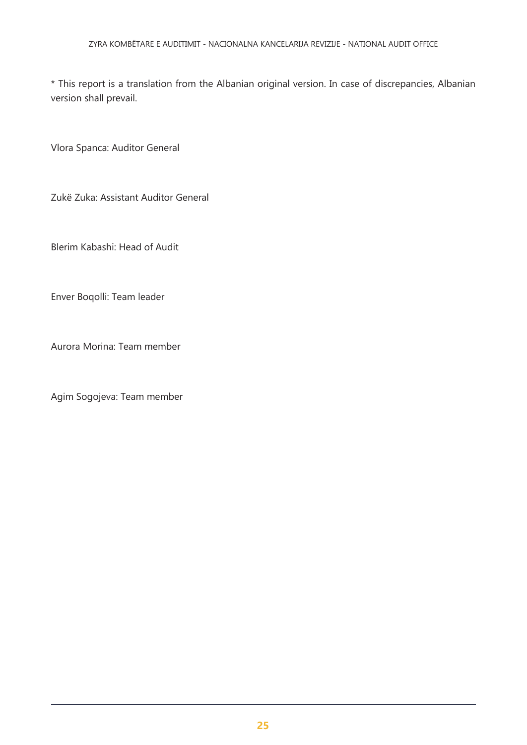\* This report is a translation from the Albanian original version. In case of discrepancies, Albanian version shall prevail.

Vlora Spanca: Auditor General

Zukë Zuka: Assistant Auditor General

Blerim Kabashi: Head of Audit

Enver Boqolli: Team leader

Aurora Morina: Team member

Agim Sogojeva: Team member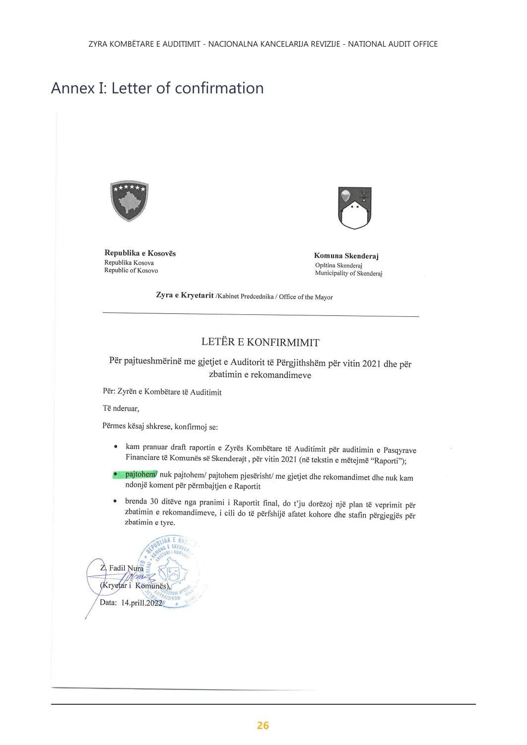# <span id="page-25-0"></span>Annex I: Letter of confirmation



Republika e Kosovës Republika Kosova Republic of Kosovo



Komuna Skenderaj Opština Skenderaj Municipality of Skenderaj

Zyra e Kryetarit /Kabinet Predcednika / Office of the Mayor

### LETËR E KONFIRMIMIT

Për pajtueshmërinë me gjetjet e Auditorit të Përgjithshëm për vitin 2021 dhe për zbatimin e rekomandimeve

Për: Zyrën e Kombëtare të Auditimit

Të nderuar,

Përmes kësaj shkrese, konfirmoj se:

- kam pranuar draft raportin e Zyrës Kombëtare të Auditimit për auditimin e Pasqyrave  $\bullet$ Financiare të Komunës së Skenderajt, për vitin 2021 (në tekstin e mëtejmë "Raporti");
- pajtohem/ nuk pajtohem/ pajtohem pjesërisht/ me gjetjet dhe rekomandimet dhe nuk kam  $\bullet$ ndonjë koment për përmbajtjen e Raportit
- brenda 30 ditëve nga pranimi i Raportit final, do t'ju dorëzoj një plan të veprimit për  $\bullet$ zbatimin e rekomandimeve, i cili do të përfshijë afatet kohore dhe stafin përgjegjës për zbatimin e tyre.

 $Z$  Fadil Nura m (Kryetar i Komunës) Data: 14.prill.2022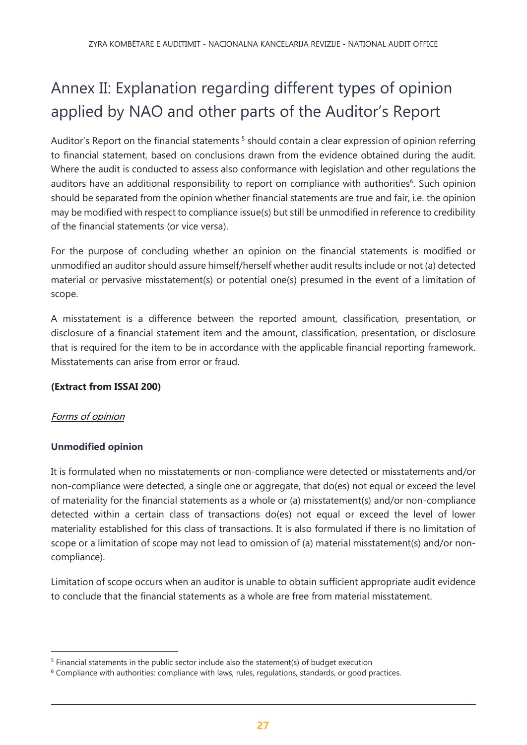# Annex II: Explanation regarding different types of opinion applied by NAO and other parts of the Auditor's Report

Auditor's Report on the financial statements<sup>5</sup> should contain a clear expression of opinion referring to financial statement, based on conclusions drawn from the evidence obtained during the audit. Where the audit is conducted to assess also conformance with legislation and other regulations the auditors have an additional responsibility to report on compliance with authorities<sup>6</sup>. Such opinion should be separated from the opinion whether financial statements are true and fair, i.e. the opinion may be modified with respect to compliance issue(s) but still be unmodified in reference to credibility of the financial statements (or vice versa).

For the purpose of concluding whether an opinion on the financial statements is modified or unmodified an auditor should assure himself/herself whether audit results include or not (a) detected material or pervasive misstatement(s) or potential one(s) presumed in the event of a limitation of scope.

A misstatement is a difference between the reported amount, classification, presentation, or disclosure of a financial statement item and the amount, classification, presentation, or disclosure that is required for the item to be in accordance with the applicable financial reporting framework. Misstatements can arise from error or fraud.

### **(Extract from ISSAI 200)**

### Forms of opinion

 $\overline{a}$ 

### **Unmodified opinion**

It is formulated when no misstatements or non-compliance were detected or misstatements and/or non-compliance were detected, a single one or aggregate, that do(es) not equal or exceed the level of materiality for the financial statements as a whole or (a) misstatement(s) and/or non-compliance detected within a certain class of transactions do(es) not equal or exceed the level of lower materiality established for this class of transactions. It is also formulated if there is no limitation of scope or a limitation of scope may not lead to omission of (a) material misstatement(s) and/or noncompliance).

Limitation of scope occurs when an auditor is unable to obtain sufficient appropriate audit evidence to conclude that the financial statements as a whole are free from material misstatement.

<sup>&</sup>lt;sup>5</sup> Financial statements in the public sector include also the statement(s) of budget execution

 $6$  Compliance with authorities: compliance with laws, rules, regulations, standards, or good practices.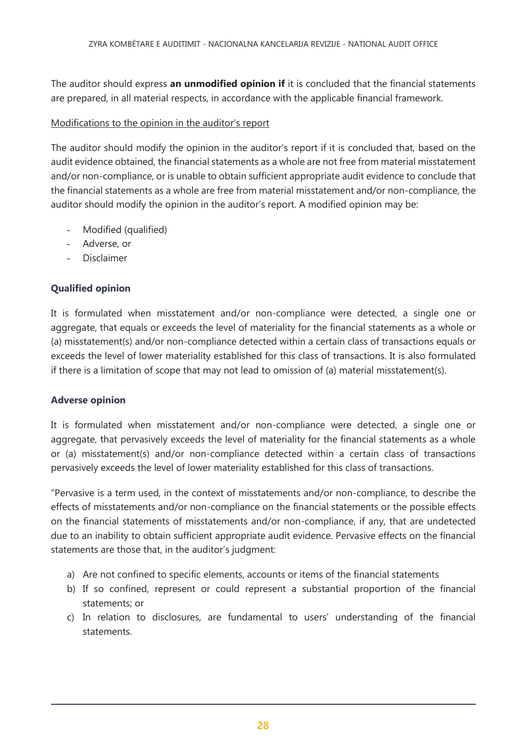The auditor should express **an unmodified opinion if** it is concluded that the financial statements are prepared, in all material respects, in accordance with the applicable financial framework.

### Modifications to the opinion in the auditor's report

The auditor should modify the opinion in the auditor's report if it is concluded that, based on the audit evidence obtained, the financial statements as a whole are not free from material misstatement and/or non-compliance, or is unable to obtain sufficient appropriate audit evidence to conclude that the financial statements as a whole are free from material misstatement and/or non-compliance, the auditor should modify the opinion in the auditor's report. A modified opinion may be:

- Modified (qualified)
- Adverse, or
- **Disclaimer**

### **Qualified opinion**

It is formulated when misstatement and/or non-compliance were detected, a single one or aggregate, that equals or exceeds the level of materiality for the financial statements as a whole or (a) misstatement(s) and/or non-compliance detected within a certain class of transactions equals or exceeds the level of lower materiality established for this class of transactions. It is also formulated if there is a limitation of scope that may not lead to omission of (a) material misstatement(s).

### **Adverse opinion**

It is formulated when misstatement and/or non-compliance were detected, a single one or aggregate, that pervasively exceeds the level of materiality for the financial statements as a whole or (a) misstatement(s) and/or non-compliance detected within a certain class of transactions pervasively exceeds the level of lower materiality established for this class of transactions.

"Pervasive is a term used, in the context of misstatements and/or non-compliance, to describe the effects of misstatements and/or non-compliance on the financial statements or the possible effects on the financial statements of misstatements and/or non-compliance, if any, that are undetected due to an inability to obtain sufficient appropriate audit evidence. Pervasive effects on the financial statements are those that, in the auditor's judgment:

- a) Are not confined to specific elements, accounts or items of the financial statements
- b) If so confined, represent or could represent a substantial proportion of the financial statements; or
- c) In relation to disclosures, are fundamental to users' understanding of the financial statements.